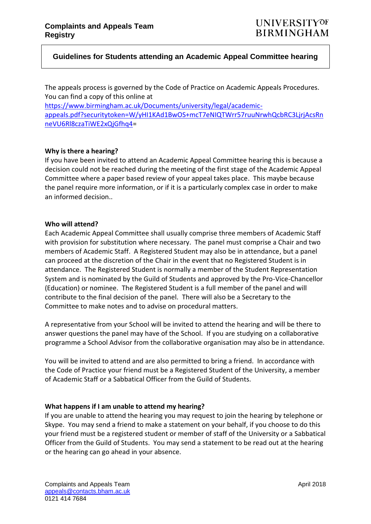## **Guidelines for Students attending an Academic Appeal Committee hearing**

The appeals process is governed by the Code of Practice on Academic Appeals Procedures. You can find a copy of this online at

[https://www.birmingham.ac.uk/Documents/university/legal/academic](https://www.birmingham.ac.uk/Documents/university/legal/academic-appeals.pdf?securitytoken=W/yHI1KAd1BwOS+mcT7eNIQTWrr57ruuNrwhQcbRC3LjrjAcsRnneVU6Rl8czaTiWE2xQjGfhq4)[appeals.pdf?securitytoken=W/yHI1KAd1BwOS+mcT7eNIQTWrr57ruuNrwhQcbRC3LjrjAcsRn](https://www.birmingham.ac.uk/Documents/university/legal/academic-appeals.pdf?securitytoken=W/yHI1KAd1BwOS+mcT7eNIQTWrr57ruuNrwhQcbRC3LjrjAcsRnneVU6Rl8czaTiWE2xQjGfhq4) [neVU6Rl8czaTiWE2xQjGfhq4=](https://www.birmingham.ac.uk/Documents/university/legal/academic-appeals.pdf?securitytoken=W/yHI1KAd1BwOS+mcT7eNIQTWrr57ruuNrwhQcbRC3LjrjAcsRnneVU6Rl8czaTiWE2xQjGfhq4)

## **Why is there a hearing?**

If you have been invited to attend an Academic Appeal Committee hearing this is because a decision could not be reached during the meeting of the first stage of the Academic Appeal Committee where a paper based review of your appeal takes place. This maybe because the panel require more information, or if it is a particularly complex case in order to make an informed decision..

## **Who will attend?**

Each Academic Appeal Committee shall usually comprise three members of Academic Staff with provision for substitution where necessary. The panel must comprise a Chair and two members of Academic Staff. A Registered Student may also be in attendance, but a panel can proceed at the discretion of the Chair in the event that no Registered Student is in attendance. The Registered Student is normally a member of the Student Representation System and is nominated by the Guild of Students and approved by the Pro-Vice-Chancellor (Education) or nominee. The Registered Student is a full member of the panel and will contribute to the final decision of the panel. There will also be a Secretary to the Committee to make notes and to advise on procedural matters.

A representative from your School will be invited to attend the hearing and will be there to answer questions the panel may have of the School. If you are studying on a collaborative programme a School Advisor from the collaborative organisation may also be in attendance.

You will be invited to attend and are also permitted to bring a friend. In accordance with the Code of Practice your friend must be a Registered Student of the University, a member of Academic Staff or a Sabbatical Officer from the Guild of Students.

## **What happens if I am unable to attend my hearing?**

If you are unable to attend the hearing you may request to join the hearing by telephone or Skype. You may send a friend to make a statement on your behalf, if you choose to do this your friend must be a registered student or member of staff of the University or a Sabbatical Officer from the Guild of Students. You may send a statement to be read out at the hearing or the hearing can go ahead in your absence.